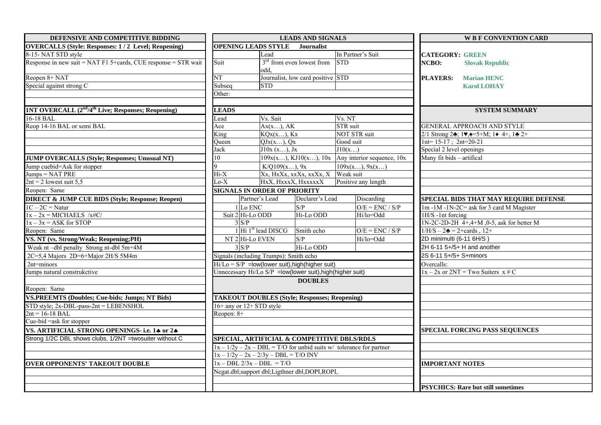| DEFENSIVE AND COMPETITIVE BIDDING                                          | <b>LEADS AND SIGNALS</b>                                   |                                                      |                                      |                                                                       |                               | <b>W B F CONVENTION CARD</b>                                                                      |
|----------------------------------------------------------------------------|------------------------------------------------------------|------------------------------------------------------|--------------------------------------|-----------------------------------------------------------------------|-------------------------------|---------------------------------------------------------------------------------------------------|
| <b>OVERCALLS (Style: Responses: 1/2 Level; Reopening)</b>                  | <b>OPENING LEADS STYLE</b><br><b>Journalist</b>            |                                                      |                                      |                                                                       |                               |                                                                                                   |
| 8-15- NAT STD style                                                        |                                                            | Lead                                                 |                                      | In Partner's Suit                                                     | <b>CATEGORY: GREEN</b>        |                                                                                                   |
| Response in new suit = NAT F1 5+cards, CUE response = $STR$ wait           | Suit                                                       | odd.                                                 | $3rd$ from even lowest from          | <b>STD</b>                                                            | NCBO:                         | <b>Slovak Republic</b>                                                                            |
| Reopen 8+ NAT                                                              | $\overline{\text{NT}}$                                     |                                                      | Journalist, low card positive STD    |                                                                       | <b>PLAYERS:</b>               | <b>Marian HENC</b>                                                                                |
| Special against strong C                                                   | Subseq                                                     | <b>STD</b>                                           |                                      |                                                                       |                               | <b>Karol LOHAY</b>                                                                                |
|                                                                            | Other:                                                     |                                                      |                                      |                                                                       |                               |                                                                                                   |
|                                                                            |                                                            |                                                      |                                      |                                                                       |                               |                                                                                                   |
| 1NT OVERCALL (2 <sup>nd</sup> /4 <sup>th</sup> Live; Responses; Reopening) | <b>LEADS</b>                                               |                                                      |                                      |                                                                       |                               | <b>SYSTEM SUMMARY</b>                                                                             |
| $16-18$ BAL                                                                | ead                                                        | Vs. Suit                                             |                                      | Vs. NT                                                                |                               |                                                                                                   |
| Reop 14-16 BAL or semi BAL                                                 | Ace                                                        | Ax(x), AK                                            |                                      | STR suit                                                              |                               | GENERAL APPROACH AND STYLE                                                                        |
|                                                                            | King                                                       | KQx(x), Kx                                           |                                      | <b>NOT STR</b> suit                                                   |                               | 2/1 Strong 24; 1 $\blacktriangledown, \triangle = 5 + M$ ; 1 $\blacktriangledown, 4 +$ , 14 $2 +$ |
|                                                                            | Oueen                                                      | QJx(x), Qx                                           |                                      | Good suit                                                             | $1nt = 15-17$ ; $2nt = 20-21$ |                                                                                                   |
|                                                                            | Jack                                                       | J10x (x), Jx                                         |                                      | J10(x)                                                                | Special 2 level openings      |                                                                                                   |
| <b>JUMP OVERCALLS (Style; Responses; Unusual NT)</b>                       | 10                                                         |                                                      | 109x(x), KJ10(x), 10x                | Any interior sequence, 10x                                            | Many fit bids - artifical     |                                                                                                   |
| Jump cuebid=Ask for stopper                                                |                                                            | K/Q109(x), 9x                                        |                                      | 109x(x), 9x(x)                                                        |                               |                                                                                                   |
| $Jumps = NAT PRE$                                                          | $\overline{Hi-X}$                                          |                                                      | $Xx$ , HxXx, xxXx, xxXx, X Weak suit |                                                                       |                               |                                                                                                   |
| $2nt = 2$ lowest suit 5,5<br>Reopen: Same                                  | $Lo-X$                                                     |                                                      | HxX, HxxxX, HxxxxxX                  | Positive any length                                                   |                               |                                                                                                   |
|                                                                            |                                                            | <b>SIGNALS IN ORDER OF PRIORITY</b>                  |                                      |                                                                       |                               |                                                                                                   |
| <b>DIRECT &amp; JUMP CUE BIDS (Style; Response; Reopen)</b>                |                                                            | Partner's Lead                                       | Declarer's Lead                      | Discarding                                                            |                               | SPECIAL BIDS THAT MAY REQUIRE DEFENSE                                                             |
| $1C - 2C =$ Natur                                                          |                                                            | 1 Lo ENC                                             | S/P                                  | $O/E = ENC / S/P$                                                     |                               | 1m -1M -1N-2C= ask for 3 card M Magister                                                          |
| $1x - 2x =$ MICHAELS /x#C/                                                 |                                                            | Suit 2 Hi-Lo ODD                                     | Hi-Lo ODD                            | Hi/lo=Odd                                                             | $1H/S - 1nt$ forcing          |                                                                                                   |
| $1x - 3x = ASK$ for STOP                                                   |                                                            | 3S/P                                                 |                                      |                                                                       |                               | $1N-2C-2D-2H$ 4+,4+M, 0-5, ask for better M                                                       |
| Reopen: Same                                                               |                                                            | 1 Hi 1 <sup>st</sup> lead DISCG                      | Smith echo                           | $O/E = ENC / S/P$                                                     |                               | $1/H/S - 2 = 2 + \text{cards}$ , $12+$                                                            |
| VS. NT (vs. Strong/Weak; Reopening;PH)                                     |                                                            | NT $2$ Hi-Lo EVEN                                    | S/P                                  | Hi/lo=Odd                                                             | 2D minimulti (6-11 6H/S)      |                                                                                                   |
| Weak nt-dbl penalty Strong nt-dbl 5m+4M                                    | 3 S/P                                                      |                                                      | Hi-Lo ODD                            |                                                                       |                               | 2H 6-11 5+/5+ H and another                                                                       |
| 2C=5,4 Majors 2D=6+Major 2H/S 5M4m                                         |                                                            | Signals (including Trumps): Smith echo               |                                      |                                                                       | 2S 6-11 5+/5+ S+minors        |                                                                                                   |
| 2nt=minors                                                                 | $Hi/Lo = S/P = low (lower suit), high (higher suit)$       |                                                      |                                      |                                                                       | Overcalls:                    |                                                                                                   |
| Jumps natural construkctive                                                | Unnecessary Hi/Lo S/P = low(lower suit), high(higher suit) |                                                      |                                      |                                                                       |                               | $1x - 2x$ or $2NT = Two Suiters x \# C$                                                           |
|                                                                            |                                                            |                                                      | <b>DOUBLES</b>                       |                                                                       |                               |                                                                                                   |
| Reopen: Same                                                               |                                                            |                                                      |                                      |                                                                       |                               |                                                                                                   |
| <b>VS.PREEMTS (Doubles; Cue-bids; Jumps; NT Bids)</b>                      |                                                            | <b>TAKEOUT DOUBLES (Style; Responses; Reopening)</b> |                                      |                                                                       |                               |                                                                                                   |
| STD style; $2x$ -DBL-pass- $2nt$ = LEBENSHOL                               |                                                            | $16+$ any or $12+$ STD style                         |                                      |                                                                       |                               |                                                                                                   |
| $2nt = 16-18$ BAL                                                          | Reopen: 8+                                                 |                                                      |                                      |                                                                       |                               |                                                                                                   |
|                                                                            |                                                            |                                                      |                                      |                                                                       |                               |                                                                                                   |
| Cue-bid =ask for stopper<br>VS. ARTIFICIAL STRONG OPENINGS- i.e. 14 or 24  |                                                            |                                                      |                                      |                                                                       |                               | <b>SPECIAL FORCING PASS SEQUENCES</b>                                                             |
| Strong 1/2C DBL shows clubs, 1/2NT =twosuiter without C                    |                                                            | SPECIAL, ARTIFICIAL & COMPETITIVE DBLS/RDLS          |                                      |                                                                       |                               |                                                                                                   |
|                                                                            |                                                            |                                                      |                                      | $1x - 1/2y - 2x - DBL = T/O$ for unbid suits w/ tolerance for partner |                               |                                                                                                   |
|                                                                            |                                                            | $1x - 1/2y - 2x - 2/3y - DBL = T/O$ INV              |                                      |                                                                       |                               |                                                                                                   |
| <b>OVER OPPONENTS' TAKEOUT DOUBLE</b>                                      |                                                            | $1x - DBL$ $2/3x - DBL = T/O$                        |                                      |                                                                       | <b>IMPORTANT NOTES</b>        |                                                                                                   |
|                                                                            |                                                            | Negat.dbl;support dbl;Ligthner dbl,DOPI,ROPI,        |                                      |                                                                       |                               |                                                                                                   |
|                                                                            |                                                            |                                                      |                                      |                                                                       |                               |                                                                                                   |
|                                                                            |                                                            |                                                      |                                      |                                                                       |                               | <b>PSYCHICS: Rare but still sometimes</b>                                                         |